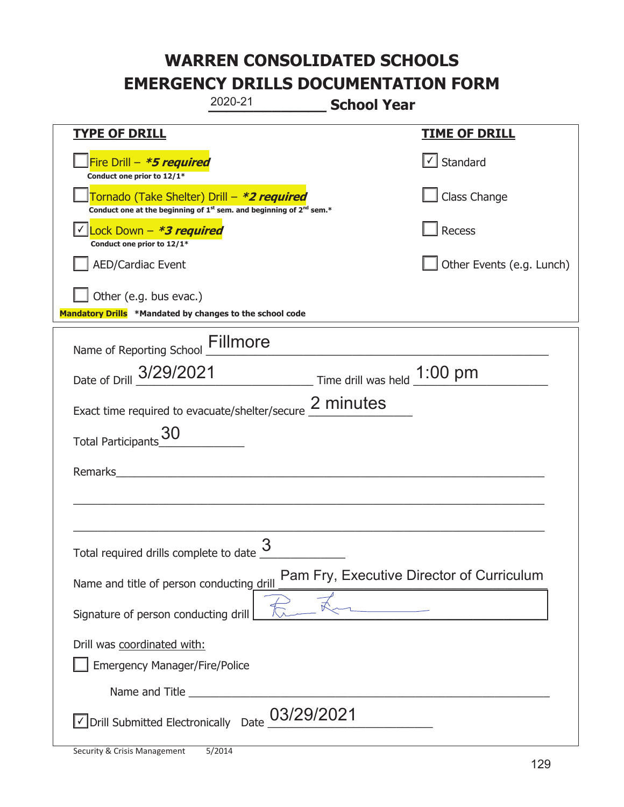## **WARREN CONSOLIDATED SCHOOLS EMERGENCY DRILLS DOCUMENTATION FORM**

|                                                                                                                                           | 2020-21    | <b>School Year</b> |                                           |
|-------------------------------------------------------------------------------------------------------------------------------------------|------------|--------------------|-------------------------------------------|
| <u>TYPE OF DRILL</u>                                                                                                                      |            |                    | <b>TIME OF DRILL</b>                      |
| Fire Drill - *5 required<br>Conduct one prior to 12/1*                                                                                    |            |                    | Standard                                  |
| Tornado (Take Shelter) Drill – *2 required<br>Conduct one at the beginning of 1 <sup>st</sup> sem. and beginning of 2 <sup>nd</sup> sem.* |            |                    | Class Change                              |
| Lock Down - <b>*3 required</b><br>Conduct one prior to 12/1*                                                                              |            |                    | Recess                                    |
| AED/Cardiac Event                                                                                                                         |            |                    | Other Events (e.g. Lunch)                 |
| Other (e.g. bus evac.)<br>Mandatory Drills *Mandated by changes to the school code                                                        |            |                    |                                           |
| Name of Reporting School Fillmore                                                                                                         |            |                    |                                           |
| Date of Drill 3/29/2021 Time drill was held 1:00 pm                                                                                       |            |                    |                                           |
| Exact time required to evacuate/shelter/secure 2 minutes                                                                                  |            |                    |                                           |
| <b>Total Participants</b>                                                                                                                 |            |                    |                                           |
| Remarks                                                                                                                                   |            |                    |                                           |
|                                                                                                                                           |            |                    |                                           |
| Total required drills complete to date $\frac{3}{5}$                                                                                      |            |                    |                                           |
| Name and title of person conducting drill                                                                                                 |            |                    | Pam Fry, Executive Director of Curriculum |
| Signature of person conducting drill                                                                                                      |            |                    |                                           |
| Drill was coordinated with:<br><b>Emergency Manager/Fire/Police</b>                                                                       |            |                    |                                           |
|                                                                                                                                           |            |                    |                                           |
| √ Drill Submitted Electronically Date                                                                                                     | 03/29/2021 |                    |                                           |

I